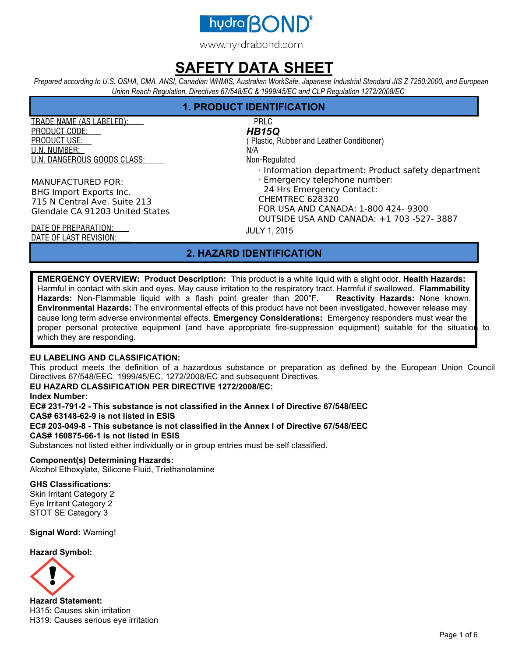

www.hyrdrabond.com

## **SAFETY DATA SHEET**

*Prepared according to U.S. OSHA, CMA, ANSI, Canadian WHMIS, Australian WorkSafe, Japanese Industrial Standard JIS Z 7250:2000, and European Union Reach Regulation, Directives 67/548/EC & 1999/45/EC and CLP Regulation 1272/2008/EC* 

## **1. PRODUCT IDENTIFICATION**

TRADE NAME (AS LABELED): PRLC PRODUCT CODE: PRODUCT USE: U.N. NUMBER: U.N. DANGEROUS GOODS CLASS:

MANUFACTURED FOR: BHG Import Exports Inc. 715 N Central Ave. Suite 213 Glendale CA 91203 United States

## *HB15Q*

( Plastic, Rubber and Leather Conditioner) N/A

Non-Regulated

- · Information department: Product safety department
- · Emergency telephone number:

24 Hrs Emergency Contact:

CHEMTREC 628320

FOR USA AND CANADA: 1-800 424- 9300

OUTSIDE USA AND CANADA: +1 703 -527- 3887

JULY 1, 2015

DATE OF PREPARATION: DATE OF LAST REVISION:

## **2. HAZARD IDENTIFICATION**

**EMERGENCY OVERVIEW: Product Description:** This product is a white liquid with a slight odor. **Health Hazards:**  Harmful in contact with skin and eyes. May cause irritation to the respiratory tract. Harmful if swallowed. **Flammability Hazards:** Non-Flammable liquid with a flash point greater than 200°F. **Reactivity Hazards:** None known. **Environmental Hazards:** The environmental effects of this product have not been investigated, however release may cause long term adverse environmental effects. **Emergency Considerations:** Emergency responders must wear the proper personal protective equipment (and have appropriate fire-suppression equipment) suitable for the situation to which they are responding.

### **EU LABELING AND CLASSIFICATION:**

This product meets the definition of a hazardous substance or preparation as defined by the European Union Council Directives 67/548/EEC, 1999/45/EC, 1272/2008/EC and subsequent Directives.

### **EU HAZARD CLASSIFICATION PER DIRECTIVE 1272/2008/EC:**

**Index Number:** 

**EC# 231-791-2 - This substance is not classified in the Annex I of Directive 67/548/EEC CAS# 63148-62-9 is not listed in ESIS** 

**EC# 203-049-8 - This substance is not classified in the Annex I of Directive 67/548/EEC CAS# 160875-66-1 is not listed in ESIS** 

Substances not listed either individually or in group entries must be self classified.

#### **Component(s) Determining Hazards:**

Alcohol Ethoxylate, Silicone Fluid, Triethanolamine

**GHS Classifications:**  Skin Irritant Category 2 Eye Irritant Category 2 STOT SE Category 3

**Signal Word:** Warning!

**Hazard Symbol:** 



**Hazard Statement:** H315: Causes skin irritation H319: Causes serious eye irritation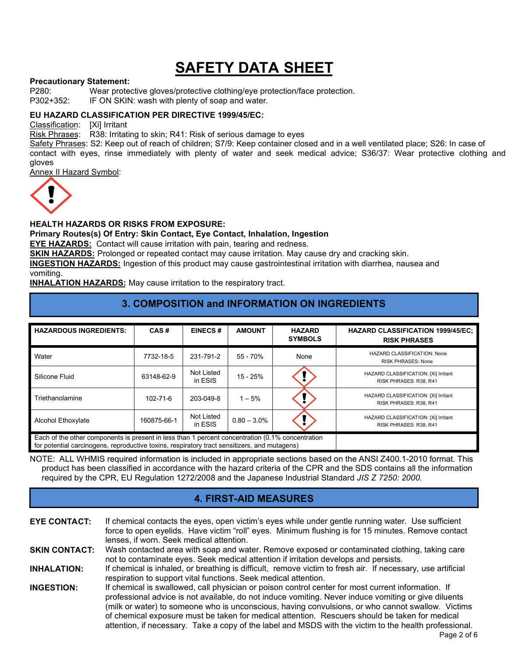## **Precautionary Statement:**

P280: Wear protective gloves/protective clothing/eye protection/face protection.<br>P302+352: IF ON SKIN: wash with plenty of soap and water.

IF ON SKIN: wash with plenty of soap and water.

### **EU HAZARD CLASSIFICATION PER DIRECTIVE 1999/45/EC:**

Classification: [Xi] Irritant

Risk Phrases: R38: Irritating to skin; R41: Risk of serious damage to eyes

Safety Phrases: S2: Keep out of reach of children; S7/9: Keep container closed and in a well ventilated place; S26: In case of contact with eyes, rinse immediately with plenty of water and seek medical advice; S36/37: Wear protective clothing and gloves

Annex II Hazard Symbol:



### **HEALTH HAZARDS OR RISKS FROM EXPOSURE:**

#### **Primary Routes(s) Of Entry: Skin Contact, Eye Contact, Inhalation, Ingestion**

**EYE HAZARDS:** Contact will cause irritation with pain, tearing and redness.

**SKIN HAZARDS:** Prolonged or repeated contact may cause irritation. May cause dry and cracking skin.

**INGESTION HAZARDS:** Ingestion of this product may cause gastrointestinal irritation with diarrhea, nausea and vomiting.

**INHALATION HAZARDS:** May cause irritation to the respiratory tract.

## **3. COMPOSITION and INFORMATION ON INGREDIENTS**

| <b>HAZARDOUS INGREDIENTS:</b>                                                                                                                                                                    | CAS#           | <b>EINECS#</b>        | <b>AMOUNT</b>  | <b>HAZARD</b><br><b>SYMBOLS</b> | <b>HAZARD CLASSIFICATION 1999/45/EC:</b><br><b>RISK PHRASES</b> |
|--------------------------------------------------------------------------------------------------------------------------------------------------------------------------------------------------|----------------|-----------------------|----------------|---------------------------------|-----------------------------------------------------------------|
| Water                                                                                                                                                                                            | 7732-18-5      | 231-791-2             | $55 - 70%$     | None                            | HAZARD CLASSIFICATION: None<br><b>RISK PHRASES: None</b>        |
| Silicone Fluid                                                                                                                                                                                   | 63148-62-9     | Not Listed<br>in ESIS | $15 - 25%$     |                                 | HAZARD CLASSIFICATION: [Xi] Irritant<br>RISK PHRASES: R38, R41  |
| Triethanolamine                                                                                                                                                                                  | $102 - 71 - 6$ | 203-049-8             | $1 - 5%$       |                                 | HAZARD CLASSIFICATION: [Xi] Irritant<br>RISK PHRASES: R38, R41  |
| Alcohol Ethoxylate                                                                                                                                                                               | 160875-66-1    | Not Listed<br>in ESIS | $0.80 - 3.0\%$ |                                 | HAZARD CLASSIFICATION: [Xi] Irritant<br>RISK PHRASES: R38, R41  |
| Each of the other components is present in less than 1 percent concentration (0.1% concentration<br>for potential carcinogens, reproductive toxins, respiratory tract sensitizers, and mutagens) |                |                       |                |                                 |                                                                 |

NOTE: ALL WHMIS required information is included in appropriate sections based on the ANSI Z400.1-2010 format. This product has been classified in accordance with the hazard criteria of the CPR and the SDS contains all the information required by the CPR, EU Regulation 1272/2008 and the Japanese Industrial Standard *JIS Z 7250: 2000*.

### **4. FIRST-AID MEASURES**

**EYE CONTACT:** If chemical contacts the eyes, open victim's eyes while under gentle running water. Use sufficient force to open eyelids. Have victim "roll" eyes. Minimum flushing is for 15 minutes. Remove contact lenses, if worn. Seek medical attention.

**SKIN CONTACT:** Wash contacted area with soap and water. Remove exposed or contaminated clothing, taking care not to contaminate eyes. Seek medical attention if irritation develops and persists.

**INHALATION:** If chemical is inhaled, or breathing is difficult, remove victim to fresh air. If necessary, use artificial respiration to support vital functions. Seek medical attention.

**INGESTION:** If chemical is swallowed, call physician or poison control center for most current information. If professional advice is not available, do not induce vomiting. Never induce vomiting or give diluents (milk or water) to someone who is unconscious, having convulsions, or who cannot swallow. Victims of chemical exposure must be taken for medical attention. Rescuers should be taken for medical attention, if necessary. Take a copy of the label and MSDS with the victim to the health professional.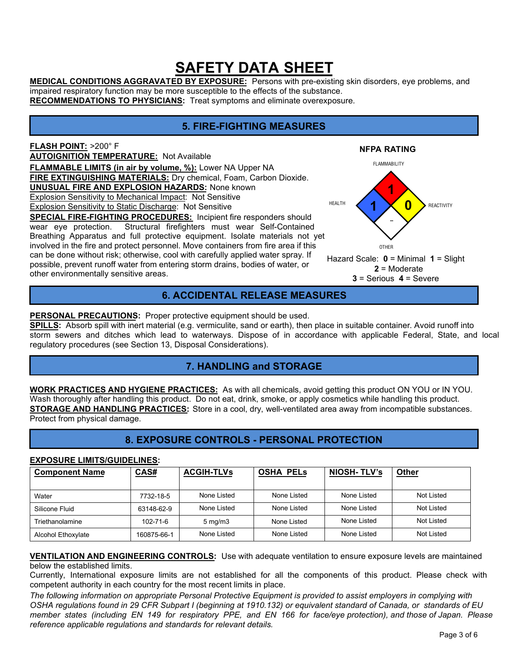**MEDICAL CONDITIONS AGGRAVATED BY EXPOSURE:** Persons with pre-existing skin disorders, eye problems, and impaired respiratory function may be more susceptible to the effects of the substance.

**RECOMMENDATIONS TO PHYSICIANS:** Treat symptoms and eliminate overexposure.

## **5. FIRE-FIGHTING MEASURES**

**NFPA RATING** 

FLAMMABILITY

**1** 

**0** 

OTHER

**2** = Moderate **3** = Serious **4** = Severe

 **--**

**1** 

REACTIVITY

**FLASH POINT:** >200° F **AUTOIGNITION TEMPERATURE:** Not Available **FLAMMABLE LIMITS (in air by volume, %):** Lower NA Upper NA **FIRE EXTINGUISHING MATERIALS:** Dry chemical, Foam, Carbon Dioxide. **UNUSUAL FIRE AND EXPLOSION HAZARDS:** None known Explosion Sensitivity to Mechanical Impact: Not Sensitive Explosion Sensitivity to Static Discharge: Not Sensitive **SPECIAL FIRE-FIGHTING PROCEDURES:** Incipient fire responders should wear eye protection. Structural firefighters must wear Self-Contained Breathing Apparatus and full protective equipment. Isolate materials not yet involved in the fire and protect personnel. Move containers from fire area if this can be done without risk; otherwise, cool with carefully applied water spray. If possible, prevent runoff water from entering storm drains, bodies of water, or other environmentally sensitive areas. HEALTH Hazard Scale: **0** = Minimal **1** = Slight

## **6. ACCIDENTAL RELEASE MEASURES**

### PERSONAL PRECAUTIONS: Proper protective equipment should be used.

**SPILLS:** Absorb spill with inert material (e.g. vermiculite, sand or earth), then place in suitable container. Avoid runoff into storm sewers and ditches which lead to waterways. Dispose of in accordance with applicable Federal, State, and local regulatory procedures (see Section 13, Disposal Considerations).

## **7. HANDLING and STORAGE**

**WORK PRACTICES AND HYGIENE PRACTICES:** As with all chemicals, avoid getting this product ON YOU or IN YOU. Wash thoroughly after handling this product. Do not eat, drink, smoke, or apply cosmetics while handling this product. **STORAGE AND HANDLING PRACTICES:** Store in a cool, dry, well-ventilated area away from incompatible substances. Protect from physical damage.

## **8. EXPOSURE CONTROLS - PERSONAL PROTECTION**

#### **EXPOSURE LIMITS/GUIDELINES:**

| <b>Component Name</b> | CAS#        | <b>ACGIH-TLVs</b> | <b>OSHA PELS</b> | <b>NIOSH-TLV's</b> | <b>Other</b> |
|-----------------------|-------------|-------------------|------------------|--------------------|--------------|
|                       |             |                   |                  |                    |              |
| Water                 | 7732-18-5   | None Listed       | None Listed      | None Listed        | Not Listed   |
| Silicone Fluid        | 63148-62-9  | None Listed       | None Listed      | None Listed        | Not Listed   |
| Triethanolamine       | 102-71-6    | $5 \text{ mg/m}$  | None Listed      | None Listed        | Not Listed   |
| Alcohol Ethoxylate    | 160875-66-1 | None Listed       | None Listed      | None Listed        | Not Listed   |

**VENTILATION AND ENGINEERING CONTROLS:** Use with adequate ventilation to ensure exposure levels are maintained below the established limits.

Currently, International exposure limits are not established for all the components of this product. Please check with competent authority in each country for the most recent limits in place.

*The following information on appropriate Personal Protective Equipment is provided to assist employers in complying with OSHA regulations found in 29 CFR Subpart I (beginning at 1910.132) or equivalent standard of Canada, or standards of EU member states (including EN 149 for respiratory PPE, and EN 166 for face/eye protection), and those of Japan. Please reference applicable regulations and standards for relevant details.*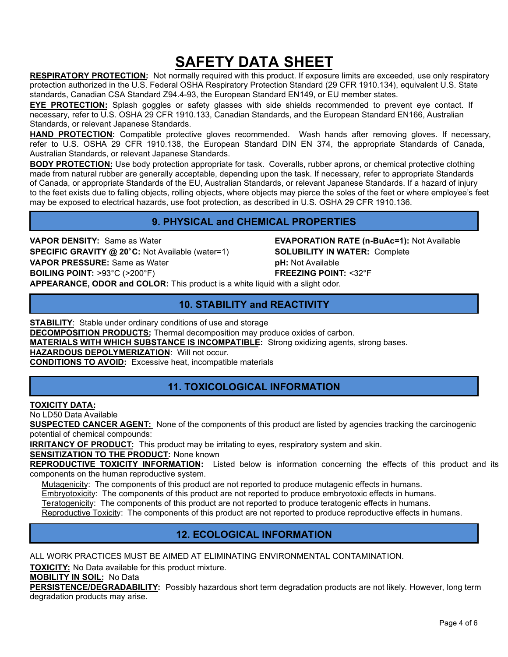**RESPIRATORY PROTECTION:** Not normally required with this product. If exposure limits are exceeded, use only respiratory protection authorized in the U.S. Federal OSHA Respiratory Protection Standard (29 CFR 1910.134), equivalent U.S. State standards, Canadian CSA Standard Z94.4-93, the European Standard EN149, or EU member states.

**EYE PROTECTION:** Splash goggles or safety glasses with side shields recommended to prevent eye contact. If necessary, refer to U.S. OSHA 29 CFR 1910.133, Canadian Standards, and the European Standard EN166, Australian Standards, or relevant Japanese Standards.

**HAND PROTECTION:** Compatible protective gloves recommended. Wash hands after removing gloves. If necessary, refer to U.S. OSHA 29 CFR 1910.138, the European Standard DIN EN 374, the appropriate Standards of Canada, Australian Standards, or relevant Japanese Standards.

**BODY PROTECTION:** Use body protection appropriate for task. Coveralls, rubber aprons, or chemical protective clothing made from natural rubber are generally acceptable, depending upon the task. If necessary, refer to appropriate Standards of Canada, or appropriate Standards of the EU, Australian Standards, or relevant Japanese Standards. If a hazard of injury to the feet exists due to falling objects, rolling objects, where objects may pierce the soles of the feet or where employee's feet may be exposed to electrical hazards, use foot protection, as described in U.S. OSHA 29 CFR 1910.136.

## **9. PHYSICAL and CHEMICAL PROPERTIES**

**VAPOR DENSITY:** Same as Water **EVAPORATION RATE (n-BuAc=1):** Not Available **SPECIFIC GRAVITY @ 20 C:** Not Available (water=1) **SOLUBILITY IN WATER:** Complete **VAPOR PRESSURE:** Same as Water **pH:** Not Available **BOILING POINT:** >93°C (>200°F) **FREEZING POINT:** <32°F

**APPEARANCE, ODOR and COLOR:** This product is a white liquid with a slight odor.

## **10. STABILITY and REACTIVITY**

**STABILITY:** Stable under ordinary conditions of use and storage

**DECOMPOSITION PRODUCTS:** Thermal decomposition may produce oxides of carbon.

**MATERIALS WITH WHICH SUBSTANCE IS INCOMPATIBLE:** Strong oxidizing agents, strong bases.

**HAZARDOUS DEPOLYMERIZATION**: Will not occur.

**CONDITIONS TO AVOID:** Excessive heat, incompatible materials

## **11. TOXICOLOGICAL INFORMATION**

**TOXICITY DATA:** 

No LD50 Data Available

**SUSPECTED CANCER AGENT:** None of the components of this product are listed by agencies tracking the carcinogenic potential of chemical compounds:

**IRRITANCY OF PRODUCT:** This product may be irritating to eyes, respiratory system and skin.

**SENSITIZATION TO THE PRODUCT: None known** 

**REPRODUCTIVE TOXICITY INFORMATION:** Listed below is information concerning the effects of this product and its components on the human reproductive system.

Mutagenicity: The components of this product are not reported to produce mutagenic effects in humans.

Embryotoxicity: The components of this product are not reported to produce embryotoxic effects in humans.

Teratogenicity: The components of this product are not reported to produce teratogenic effects in humans.

Reproductive Toxicity: The components of this product are not reported to produce reproductive effects in humans.

## **12. ECOLOGICAL INFORMATION**

ALL WORK PRACTICES MUST BE AIMED AT ELIMINATING ENVIRONMENTAL CONTAMINATION.

**TOXICITY:** No Data available for this product mixture.

**MOBILITY IN SOIL:** No Data

**PERSISTENCE/DEGRADABILITY:** Possibly hazardous short term degradation products are not likely. However, long term degradation products may arise.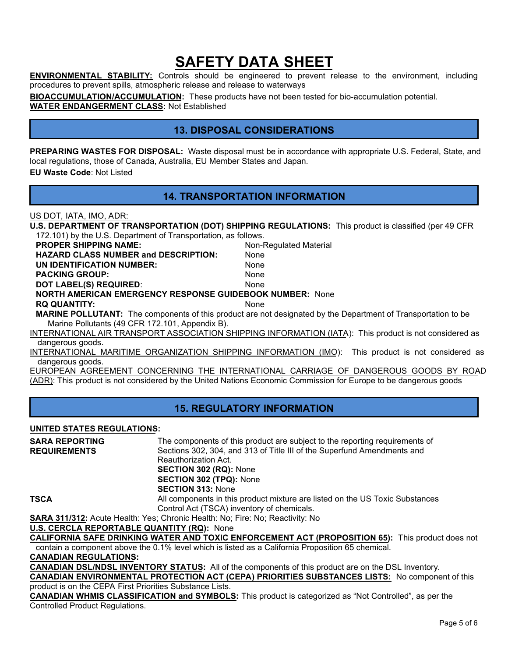**ENVIRONMENTAL STABILITY:** Controls should be engineered to prevent release to the environment, including procedures to prevent spills, atmospheric release and release to waterways

**BIOACCUMULATION/ACCUMULATION:** These products have not been tested for bio-accumulation potential. **WATER ENDANGERMENT CLASS:** Not Established

## **13. DISPOSAL CONSIDERATIONS**

**PREPARING WASTES FOR DISPOSAL:** Waste disposal must be in accordance with appropriate U.S. Federal, State, and local regulations, those of Canada, Australia, EU Member States and Japan. **EU Waste Code**: Not Listed

### **14. TRANSPORTATION INFORMATION**

US DOT, IATA, IMO, ADR:

| U.S. DEPARTMENT OF TRANSPORTATION (DOT) SHIPPING REGULATIONS: This product is classified (per 49 CFR |  |
|------------------------------------------------------------------------------------------------------|--|
| 172.101) by the U.S. Department of Transportation, as follows.                                       |  |

| <b>PROPER SHIPPING NAME:</b>                                                      | Non-Regulated Material |
|-----------------------------------------------------------------------------------|------------------------|
| <b>HAZARD CLASS NUMBER and DESCRIPTION:</b>                                       | <b>None</b>            |
| UN IDENTIFICATION NUMBER:                                                         | <b>None</b>            |
| <b>PACKING GROUP:</b>                                                             | <b>None</b>            |
| DOT LABEL(S) REQUIRED:                                                            | <b>None</b>            |
| <b>NORTH AMERICAN EMERGENCY RESPONSE GUIDEBOOK NUMBER: None</b>                   |                        |
| <b>RQ QUANTITY:</b>                                                               | <b>None</b>            |
| <b>MARINE POLLUTANT:</b> The components of this product are not designated by the |                        |

Department of Transportation to be Marine Pollutants (49 CFR 172.101, Appendix B).

INTERNATIONAL AIR TRANSPORT ASSOCIATION SHIPPING INFORMATION (IATA): This product is not considered as dangerous goods.

INTERNATIONAL MARITIME ORGANIZATION SHIPPING INFORMATION (IMO): This product is not considered as dangerous goods.

EUROPEAN AGREEMENT CONCERNING THE INTERNATIONAL CARRIAGE OF DANGEROUS GOODS BY ROAD (ADR): This product is not considered by the United Nations Economic Commission for Europe to be dangerous goods

### **15. REGULATORY INFORMATION**

### **UNITED STATES REGULATIONS:**

| <b>SARA REPORTING</b> | The components of this product are subject to the reporting requirements of   |
|-----------------------|-------------------------------------------------------------------------------|
| <b>REQUIREMENTS</b>   | Sections 302, 304, and 313 of Title III of the Superfund Amendments and       |
|                       | Reauthorization Act.                                                          |
|                       | <b>SECTION 302 (RQ): None</b>                                                 |
|                       | <b>SECTION 302 (TPQ): None</b>                                                |
|                       | <b>SECTION 313: None</b>                                                      |
| TSCA                  | All components in this product mixture are listed on the US Toxic Substances  |
|                       | Control Act (TSCA) inventory of chemicals.                                    |
|                       | CADA 311/312: Acute Health: Ves: Chronic Health: No: Eire: No: Peactivity: No |

**311/312:** Acute Health: Yes; Chronic Health: No; Fire: No; Reactivity: No

**U.S. CERCLA REPORTABLE QUANTITY (RQ):** None

**CALIFORNIA SAFE DRINKING WATER AND TOXIC ENFORCEMENT ACT (PROPOSITION 65):** This product does not contain a component above the 0.1% level which is listed as a California Proposition 65 chemical.

**CANADIAN REGULATIONS:** 

**CANADIAN DSL/NDSL INVENTORY STATUS:** All of the components of this product are on the DSL Inventory.

**CANADIAN ENVIRONMENTAL PROTECTION ACT (CEPA) PRIORITIES SUBSTANCES LISTS:** No component of this product is on the CEPA First Priorities Substance Lists.

**CANADIAN WHMIS CLASSIFICATION and SYMBOLS:** This product is categorized as "Not Controlled", as per the Controlled Product Regulations.